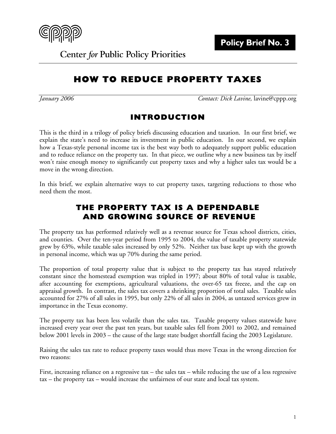

**Center for Public Policy Priorities** 

# **HOW TO REDUCE PROPERTY TAXES**

*January 2006 Contact: Dick Lavine,* lavine@cppp.org

# **INTRODUCTION**

This is the third in a trilogy of policy briefs discussing education and taxation. In our first brief, we explain the state's need to increase its investment in public education. In our second, we explain how a Texas-style personal income tax is the best way both to adequately support public education and to reduce reliance on the property tax. In that piece, we outline why a new business tax by itself won't raise enough money to significantly cut property taxes and why a higher sales tax would be a move in the wrong direction.

In this brief, we explain alternative ways to cut property taxes, targeting reductions to those who need them the most.

# **THE PROPERTY TAX IS A DEPENDABLE AND GROWING SOURCE OF REVENUE**

The property tax has performed relatively well as a revenue source for Texas school districts, cities, and counties. Over the ten-year period from 1995 to 2004, the value of taxable property statewide grew by 63%, while taxable sales increased by only 52%. Neither tax base kept up with the growth in personal income, which was up 70% during the same period.

The proportion of total property value that is subject to the property tax has stayed relatively constant since the homestead exemption was tripled in 1997; about 80% of total value is taxable, after accounting for exemptions, agricultural valuations, the over-65 tax freeze, and the cap on appraisal growth. In contrast, the sales tax covers a shrinking proportion of total sales. Taxable sales accounted for 27% of all sales in 1995, but only 22% of all sales in 2004, as untaxed services grew in importance in the Texas economy.

The property tax has been less volatile than the sales tax. Taxable property values statewide have increased every year over the past ten years, but taxable sales fell from 2001 to 2002, and remained below 2001 levels in 2003 – the cause of the large state budget shortfall facing the 2003 Legislature.

Raising the sales tax rate to reduce property taxes would thus move Texas in the wrong direction for two reasons:

First, increasing reliance on a regressive tax – the sales tax – while reducing the use of a less regressive tax – the property tax – would increase the unfairness of our state and local tax system.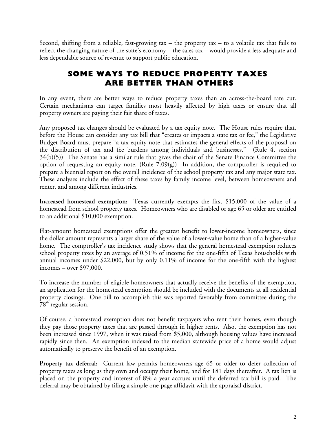Second, shifting from a reliable, fast-growing tax  $-$  the property tax  $-$  to a volatile tax that fails to reflect the changing nature of the state's economy – the sales tax – would provide a less adequate and less dependable source of revenue to support public education.

# **SOME WAYS TO REDUCE PROPERTY TAXES ARE BETTER THAN OTHERS**

In any event, there are better ways to reduce property taxes than an across-the-board rate cut. Certain mechanisms can target families most heavily affected by high taxes or ensure that all property owners are paying their fair share of taxes.

Any proposed tax changes should be evaluated by a tax equity note. The House rules require that, before the House can consider any tax bill that "creates or impacts a state tax or fee," the Legislative Budget Board must prepare "a tax equity note that estimates the general effects of the proposal on the distribution of tax and fee burdens among individuals and businesses." (Rule 4, section 34(b)(5)) The Senate has a similar rule that gives the chair of the Senate Finance Committee the option of requesting an equity note. (Rule 7.09(g)) In addition, the comptroller is required to prepare a biennial report on the overall incidence of the school property tax and any major state tax. These analyses include the effect of these taxes by family income level, between homeowners and renter, and among different industries.

**Increased homestead exemption:** Texas currently exempts the first \$15,000 of the value of a homestead from school property taxes. Homeowners who are disabled or age 65 or older are entitled to an additional \$10,000 exemption.

Flat-amount homestead exemptions offer the greatest benefit to lower-income homeowners, since the dollar amount represents a larger share of the value of a lower-value home than of a higher-value home. The comptroller's tax incidence study shows that the general homestead exemption reduces school property taxes by an average of 0.51% of income for the one-fifth of Texas households with annual incomes under \$22,000, but by only 0.11% of income for the one-fifth with the highest incomes – over \$97,000.

To increase the number of eligible homeowners that actually receive the benefits of the exemption, an application for the homestead exemption should be included with the documents at all residential property closings. One bill to accomplish this was reported favorably from committee during the  $78<sup>th</sup>$  regular session.

Of course, a homestead exemption does not benefit taxpayers who rent their homes, even though they pay those property taxes that are passed through in higher rents. Also, the exemption has not been increased since 1997, when it was raised from \$5,000, although housing values have increased rapidly since then. An exemption indexed to the median statewide price of a home would adjust automatically to preserve the benefit of an exemption.

**Property tax deferral:** Current law permits homeowners age 65 or older to defer collection of property taxes as long as they own and occupy their home, and for 181 days thereafter. A tax lien is placed on the property and interest of 8% a year accrues until the deferred tax bill is paid. The deferral may be obtained by filing a simple one-page affidavit with the appraisal district.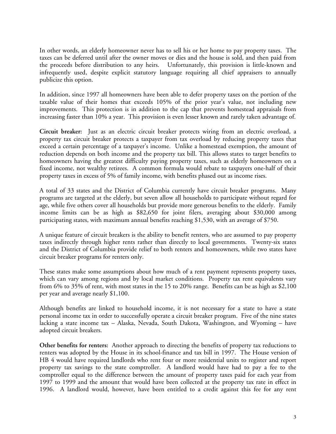In other words, an elderly homeowner never has to sell his or her home to pay property taxes. The taxes can be deferred until after the owner moves or dies and the house is sold, and then paid from the proceeds before distribution to any heirs. Unfortunately, this provision is little-known and infrequently used, despite explicit statutory language requiring all chief appraisers to annually publicize this option.

In addition, since 1997 all homeowners have been able to defer property taxes on the portion of the taxable value of their homes that exceeds 105% of the prior year's value, not including new improvements. This protection is in addition to the cap that prevents homestead appraisals from increasing faster than 10% a year. This provision is even lesser known and rarely taken advantage of.

**Circuit breaker:** Just as an electric circuit breaker protects wiring from an electric overload, a property tax circuit breaker protects a taxpayer from tax overload by reducing property taxes that exceed a certain percentage of a taxpayer's income. Unlike a homestead exemption, the amount of reduction depends on both income and the property tax bill. This allows states to target benefits to homeowners having the greatest difficulty paying property taxes, such as elderly homeowners on a fixed income, not wealthy retirees. A common formula would rebate to taxpayers one-half of their property taxes in excess of 5% of family income, with benefits phased out as income rises.

A total of 33 states and the District of Columbia currently have circuit breaker programs. Many programs are targeted at the elderly, but seven allow all households to participate without regard for age, while five others cover all households but provide more generous benefits to the elderly. Family income limits can be as high as \$82,650 for joint filers, averaging about \$30,000 among participating states, with maximum annual benefits reaching \$1,530, with an average of \$750.

A unique feature of circuit breakers is the ability to benefit renters, who are assumed to pay property taxes indirectly through higher rents rather than directly to local governments. Twenty-six states and the District of Columbia provide relief to both renters and homeowners, while two states have circuit breaker programs for renters only.

These states make some assumptions about how much of a rent payment represents property taxes, which can vary among regions and by local market conditions. Property tax rent equivalents vary from 6% to 35% of rent, with most states in the 15 to 20% range. Benefits can be as high as \$2,100 per year and average nearly \$1,100.

Although benefits are linked to household income, it is not necessary for a state to have a state personal income tax in order to successfully operate a circuit breaker program. Five of the nine states lacking a state income tax – Alaska, Nevada, South Dakota, Washington, and Wyoming – have adopted circuit breakers.

**Other benefits for renters:** Another approach to directing the benefits of property tax reductions to renters was adopted by the House in its school-finance and tax bill in 1997. The House version of HB 4 would have required landlords who rent four or more residential units to register and report property tax savings to the state comptroller. A landlord would have had to pay a fee to the comptroller equal to the difference between the amount of property taxes paid for each year from 1997 to 1999 and the amount that would have been collected at the property tax rate in effect in 1996. A landlord would, however, have been entitled to a credit against this fee for any rent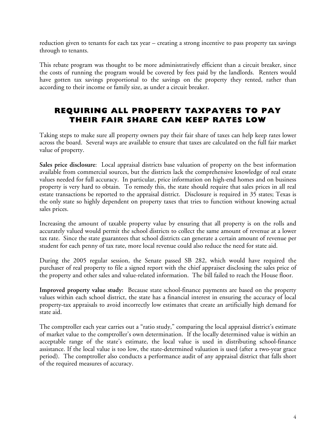reduction given to tenants for each tax year – creating a strong incentive to pass property tax savings through to tenants.

This rebate program was thought to be more administratively efficient than a circuit breaker, since the costs of running the program would be covered by fees paid by the landlords. Renters would have gotten tax savings proportional to the savings on the property they rented, rather than according to their income or family size, as under a circuit breaker.

# **REQUIRING ALL PROPERTY TAXPAYERS TO PAY THEIR FAIR SHARE CAN KEEP RATES LOW**

Taking steps to make sure all property owners pay their fair share of taxes can help keep rates lower across the board. Several ways are available to ensure that taxes are calculated on the full fair market value of property.

**Sales price disclosure**: Local appraisal districts base valuation of property on the best information available from commercial sources, but the districts lack the comprehensive knowledge of real estate values needed for full accuracy. In particular, price information on high-end homes and on business property is very hard to obtain. To remedy this, the state should require that sales prices in all real estate transactions be reported to the appraisal district. Disclosure is required in 35 states; Texas is the only state so highly dependent on property taxes that tries to function without knowing actual sales prices.

Increasing the amount of taxable property value by ensuring that all property is on the rolls and accurately valued would permit the school districts to collect the same amount of revenue at a lower tax rate. Since the state guarantees that school districts can generate a certain amount of revenue per student for each penny of tax rate, more local revenue could also reduce the need for state aid.

During the 2005 regular session, the Senate passed SB 282, which would have required the purchaser of real property to file a signed report with the chief appraiser disclosing the sales price of the property and other sales and value-related information. The bill failed to reach the House floor.

**Improved property value study:** Because state school-finance payments are based on the property values within each school district, the state has a financial interest in ensuring the accuracy of local property-tax appraisals to avoid incorrectly low estimates that create an artificially high demand for state aid.

The comptroller each year carries out a "ratio study," comparing the local appraisal district's estimate of market value to the comptroller's own determination. If the locally determined value is within an acceptable range of the state's estimate, the local value is used in distributing school-finance assistance. If the local value is too low, the state-determined valuation is used (after a two-year grace period). The comptroller also conducts a performance audit of any appraisal district that falls short of the required measures of accuracy.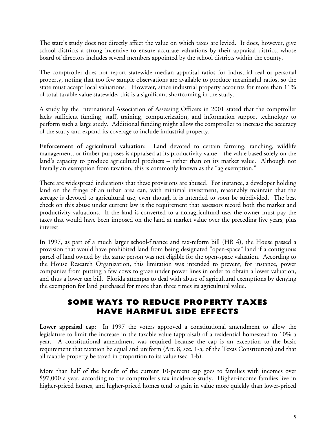The state's study does not directly affect the value on which taxes are levied. It does, however, give school districts a strong incentive to ensure accurate valuations by their appraisal district, whose board of directors includes several members appointed by the school districts within the county.

The comptroller does not report statewide median appraisal ratios for industrial real or personal property, noting that too few sample observations are available to produce meaningful ratios, so the state must accept local valuations. However, since industrial property accounts for more than 11% of total taxable value statewide, this is a significant shortcoming in the study.

A study by the International Association of Assessing Officers in 2001 stated that the comptroller lacks sufficient funding, staff, training, computerization, and information support technology to perform such a large study. Additional funding might allow the comptroller to increase the accuracy of the study and expand its coverage to include industrial property.

**Enforcement of agricultural valuation:** Land devoted to certain farming, ranching, wildlife management, or timber purposes is appraised at its productivity value – the value based solely on the land's capacity to produce agricultural products – rather than on its market value. Although not literally an exemption from taxation, this is commonly known as the "ag exemption."

There are widespread indications that these provisions are abused. For instance, a developer holding land on the fringe of an urban area can, with minimal investment, reasonably maintain that the acreage is devoted to agricultural use, even though it is intended to soon be subdivided. The best check on this abuse under current law is the requirement that assessors record both the market and productivity valuations. If the land is converted to a nonagricultural use, the owner must pay the taxes that would have been imposed on the land at market value over the preceding five years, plus interest.

In 1997, as part of a much larger school-finance and tax-reform bill (HB 4), the House passed a provision that would have prohibited land from being designated "open-space" land if a contiguous parcel of land owned by the same person was not eligible for the open-space valuation. According to the House Research Organization, this limitation was intended to prevent, for instance, power companies from putting a few cows to graze under power lines in order to obtain a lower valuation, and thus a lower tax bill. Florida attempts to deal with abuse of agricultural exemptions by denying the exemption for land purchased for more than three times its agricultural value.

# **SOME WAYS TO REDUCE PROPERTY TAXES HAVE HARMFUL SIDE EFFECTS**

**Lower appraisal cap**: In 1997 the voters approved a constitutional amendment to allow the legislature to limit the increase in the taxable value (appraisal) of a residential homestead to 10% a year. A constitutional amendment was required because the cap is an exception to the basic requirement that taxation be equal and uniform (Art. 8, sec. 1-a, of the Texas Constitution) and that all taxable property be taxed in proportion to its value (sec. 1-b).

More than half of the benefit of the current 10-percent cap goes to families with incomes over \$97,000 a year, according to the comptroller's tax incidence study. Higher-income families live in higher-priced homes, and higher-priced homes tend to gain in value more quickly than lower-priced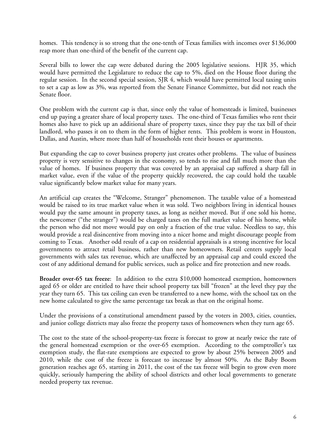homes. This tendency is so strong that the one-tenth of Texas families with incomes over \$136,000 reap more than one-third of the benefit of the current cap.

Several bills to lower the cap were debated during the 2005 legislative sessions. HJR 35, which would have permitted the Legislature to reduce the cap to 5%, died on the House floor during the regular session. In the second special session, SJR 4, which would have permitted local taxing units to set a cap as low as 3%, was reported from the Senate Finance Committee, but did not reach the Senate floor.

One problem with the current cap is that, since only the value of homesteads is limited, businesses end up paying a greater share of local property taxes. The one-third of Texas families who rent their homes also have to pick up an additional share of property taxes, since they pay the tax bill of their landlord, who passes it on to them in the form of higher rents. This problem is worst in Houston, Dallas, and Austin, where more than half of households rent their houses or apartments.

But expanding the cap to cover business property just creates other problems. The value of business property is very sensitive to changes in the economy, so tends to rise and fall much more than the value of homes. If business property that was covered by an appraisal cap suffered a sharp fall in market value, even if the value of the property quickly recovered, the cap could hold the taxable value significantly below market value for many years.

An artificial cap creates the "Welcome, Stranger" phenomenon. The taxable value of a homestead would be raised to its true market value when it was sold. Two neighbors living in identical houses would pay the same amount in property taxes, as long as neither moved. But if one sold his home, the newcomer ("the stranger") would be charged taxes on the full market value of his home, while the person who did not move would pay on only a fraction of the true value. Needless to say, this would provide a real disincentive from moving into a nicer home and might discourage people from coming to Texas. Another odd result of a cap on residential appraisals is a strong incentive for local governments to attract retail business, rather than new homeowners. Retail centers supply local governments with sales tax revenue, which are unaffected by an appraisal cap and could exceed the cost of any additional demand for public services, such as police and fire protection and new roads.

**Broader over-65 tax freeze**: In addition to the extra \$10,000 homestead exemption, homeowners aged 65 or older are entitled to have their school property tax bill "frozen" at the level they pay the year they turn 65. This tax ceiling can even be transferred to a new home, with the school tax on the new home calculated to give the same percentage tax break as that on the original home.

Under the provisions of a constitutional amendment passed by the voters in 2003, cities, counties, and junior college districts may also freeze the property taxes of homeowners when they turn age 65.

The cost to the state of the school-property-tax freeze is forecast to grow at nearly twice the rate of the general homestead exemption or the over-65 exemption. According to the comptroller's tax exemption study, the flat-rate exemptions are expected to grow by about 25% between 2005 and 2010, while the cost of the freeze is forecast to increase by almost 50%. As the Baby Boom generation reaches age 65, starting in 2011, the cost of the tax freeze will begin to grow even more quickly, seriously hampering the ability of school districts and other local governments to generate needed property tax revenue.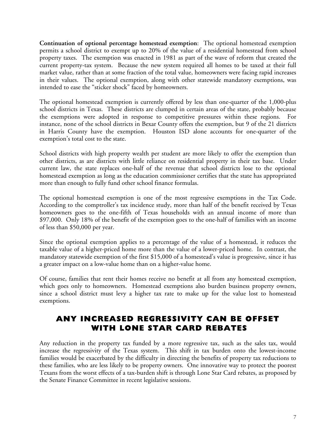**Continuation of optional percentage homestead exemption**: The optional homestead exemption permits a school district to exempt up to 20% of the value of a residential homestead from school property taxes. The exemption was enacted in 1981 as part of the wave of reform that created the current property-tax system. Because the new system required all homes to be taxed at their full market value, rather than at some fraction of the total value, homeowners were facing rapid increases in their values. The optional exemption, along with other statewide mandatory exemptions, was intended to ease the "sticker shock" faced by homeowners.

The optional homestead exemption is currently offered by less than one-quarter of the 1,000-plus school districts in Texas. These districts are clumped in certain areas of the state, probably because the exemptions were adopted in response to competitive pressures within these regions. For instance, none of the school districts in Bexar County offers the exemption, but 9 of the 21 districts in Harris County have the exemption. Houston ISD alone accounts for one-quarter of the exemption's total cost to the state.

School districts with high property wealth per student are more likely to offer the exemption than other districts, as are districts with little reliance on residential property in their tax base. Under current law, the state replaces one-half of the revenue that school districts lose to the optional homestead exemption as long as the education commissioner certifies that the state has appropriated more than enough to fully fund other school finance formulas.

The optional homestead exemption is one of the most regressive exemptions in the Tax Code. According to the comptroller's tax incidence study, more than half of the benefit received by Texas homeowners goes to the one-fifth of Texas households with an annual income of more than \$97,000. Only 18% of the benefit of the exemption goes to the one-half of families with an income of less than \$50,000 per year.

Since the optional exemption applies to a percentage of the value of a homestead, it reduces the taxable value of a higher-priced home more than the value of a lower-priced home. In contrast, the mandatory statewide exemption of the first \$15,000 of a homestead's value is progressive, since it has a greater impact on a low-value home than on a higher-value home.

Of course, families that rent their homes receive no benefit at all from any homestead exemption, which goes only to homeowners. Homestead exemptions also burden business property owners, since a school district must levy a higher tax rate to make up for the value lost to homestead exemptions.

# **ANY INCREASED REGRESSIVITY CAN BE OFFSET WITH LONE STAR CARD REBATES**

Any reduction in the property tax funded by a more regressive tax, such as the sales tax, would increase the regressivity of the Texas system. This shift in tax burden onto the lowest-income families would be exacerbated by the difficulty in directing the benefits of property tax reductions to these families, who are less likely to be property owners. One innovative way to protect the poorest Texans from the worst effects of a tax-burden shift is through Lone Star Card rebates, as proposed by the Senate Finance Committee in recent legislative sessions.